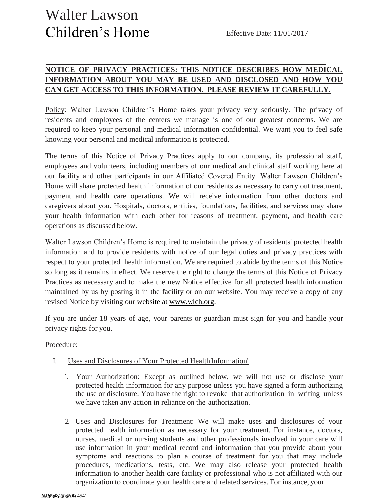## Walter Lawson Children's Home Effective Date: 11/01/2017

## **NOTICE OF PRIVACY PRACTICES: THIS NOTICE DESCRIBES HOW MEDICAL INFORMATION ABOUT YOU MAY BE USED AND DISCLOSED AND HOW YOU CAN GET ACCESS TO THIS INFORMATION. PLEASE REVIEW IT CAREFULLY.**

Policy: Walter Lawson Children's Home takes your privacy very seriously. The privacy of residents and employees of the centers we manage is one of our greatest concerns. We are required to keep your personal and medical information confidential. We want you to feel safe knowing your personal and medical information is protected.

The terms of this Notice of Privacy Practices apply to our company, its professional staff, employees and volunteers, including members of our medical and clinical staff working here at our facility and other participants in our Affiliated Covered Entity. Walter Lawson Children's Home will share protected health information of our residents as necessary to carry out treatment, payment and health care operations. We will receive information from other doctors and caregivers about you. Hospitals, doctors, entities, foundations, facilities, and services may share your health information with each other for reasons of treatment, payment, and health care operations as discussed below.

Walter Lawson Children's Home is required to maintain the privacy of residents' protected health information and to provide residents with notice of our legal duties and privacy practices with respect to your protected health information. We are required to abide by the terms of this Notice so long as it remains in effect. We reserve the right to change the terms of this Notice of Privacy Practices as necessary and to make the new Notice effective for all protected health information maintained by us by posting it in the facility or on our website. You may receive a copy of any revised Notice by visiting our website at [www.wlch.org.](www.wlch.org)

If you are under 18 years of age, your parents or guardian must sign for you and handle your privacy rights for you.

Procedure:

## I. Uses and Disclosures of Your Protected Health Information'

- 1. Your Authorization: Except as outlined below, we will not use or disclose your protected health information for any purpose unless you have signed a form authorizing the use or disclosure. You have the right to revoke that authorization in writing unless we have taken any action in reliance on the authorization.
- 2. Uses and Disclosures for Treatment: We will make uses and disclosures of your protected health information as necessary for your treatment. For instance, doctors, nurses, medical or nursing students and other professionals involved in your care will use information in your medical record and information that you provide about your symptoms and reactions to plan a course of treatment for you that may include procedures, medications, tests, etc. We may also release your protected health information to another health care facility or professional who is not affiliated with our organization to coordinate your health care and related services. For instance, your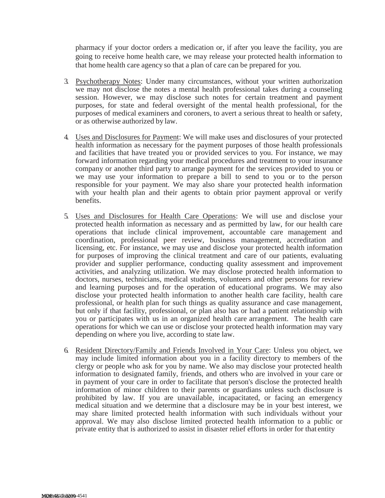pharmacy if your doctor orders a medication or, if after you leave the facility, you are going to receive home health care, we may release your protected health information to that home health care agency so that a plan of care can be prepared for you.

- 3. Psychotherapy Notes: Under many circumstances, without your written authorization we may not disclose the notes a mental health professional takes during a counseling session. However, we may disclose such notes for certain treatment and payment purposes, for state and federal oversight of the mental health professional, for the purposes of medical examiners and coroners, to avert a serious threat to health or safety, or as otherwise authorized by law.
- 4. Uses and Disclosures for Payment: We will make uses and disclosures of your protected health information as necessary for the payment purposes of those health professionals and facilities that have treated you or provided services to you. For instance, we may forward information regarding your medical procedures and treatment to your insurance company or another third party to arrange payment for the services provided to you or we may use your information to prepare a bill to send to you or to the person responsible for your payment. We may also share your protected health information with your health plan and their agents to obtain prior payment approval or verify benefits.
- 5. Uses and Disclosures for Health Care Operations: We will use and disclose your protected health information as necessary and as permitted by law, for our health care operations that include clinical improvement, accountable care management and coordination, professional peer review, business management, accreditation and licensing, etc. For instance, we may use and disclose your protected health information for purposes of improving the clinical treatment and care of our patients, evaluating provider and supplier performance, conducting quality assessment and improvement activities, and analyzing utilization. We may disclose protected health information to doctors, nurses, technicians, medical students, volunteers and other persons for review and learning purposes and for the operation of educational programs. We may also disclose your protected health information to another health care facility, health care professional, or health plan for such things as quality assurance and case management, but only if that facility, professional, or plan also has or had a patient relationship with you or participates with us in an organized health care arrangement. The health care operations for which we can use or disclose your protected health information may vary depending on where you live, according to state law.
- 6. Resident Directory/Family and Friends Involved in Your Care: Unless you object, we may include limited information about you in a facility directory to members of the clergy or people who ask for you by name. We also may disclose your protected health information to designated family, friends, and others who are involved in your care or in payment of your care in order to facilitate that person's disclose the protected health information of minor children to their parents or guardians unless such disclosure is prohibited by law. If you are unavailable, incapacitated, or facing an emergency medical situation and we determine that a disclosure may be in your best interest, we may share limited protected health information with such individuals without your approval. We may also disclose limited protected health information to a public or private entity that is authorized to assist in disaster relief efforts in order for that entity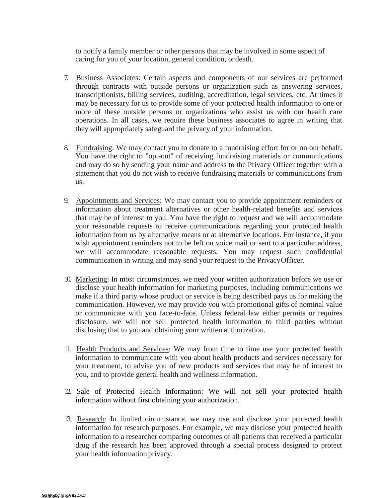to notify a family member or other persons that may be involved in some aspect of caring for you of your location, general condition, ordeath.

- 7. Business Associates: Certain aspects and components of our services are performed through contracts with outside persons or organization such as answering services, transcriptionists, billing services, auditing, accreditation, legal services, etc. At times it may be necessary for us to provide some of your protected health information to one or more of these outside persons or organizations who assist us with our health care operations. In all cases, we require these business associates to agree in writing that they will appropriately safeguard the privacy of your information.
- 8. Fundraising: We may contact you to donate to a fundraising effort for or on our behalf. You have the right to "opt-out" of receiving fundraising materials or communications and may do so by sending your name and address to the Privacy Officer together with a statement that you do not wish to receive fundraising materials or communications from us.
- 9. Appointments and Services: We may contact you to provide appointment reminders or information about treatment alternatives or other health-related benefits and services that may be of interest to you. You have the right to request and we will accommodate your reasonable requests to receive communications regarding your protected health information from us by alternative means or at alternative locations. For instance, if you wish appointment reminders not to be left on voice mail or sent to a particular address, we will accommodate reasonable requests. You may request such confidential communication in writing and may send your request to the PrivacyOfficer.
- 10. Marketing: In most circumstances, we need your written authorization before we use or disclose your health information for marketing purposes, including communications we make if a third party whose product or service is being described pays us for making the communication. However, we may provide you with promotional gifts of nominal value or communicate with you face-to-face. Unless federal law either permits or requires disclosure, we will not sell protected health information to third parties without disclosing that to you and obtaining your written authorization.
- 11. Health Products and Services: We may from time to time use your protected health information to communicate with you about health products and services necessary for your treatment, to advise you of new products and services that may be of interest to you, and to provide general health and wellnessinformation.
- 12. Sale of Protected Health Information: We will not sell your protected health information without first obtaining your authorization.
- 13. Research: In limited circumstance, we may use and disclose your protected health information for research purposes. For example, we may disclose your protected health information to a researcher comparing outcomes of all patients that received a particular drug if the research has been approved through a special process designed to protect your health information privacy.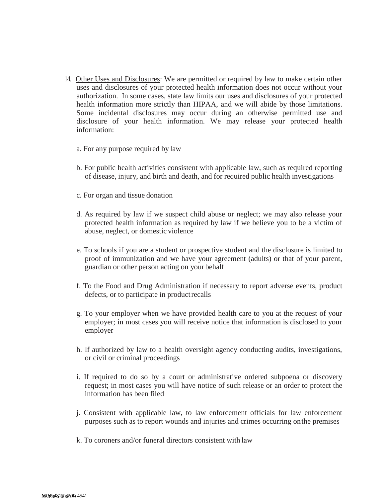- 14. Other Uses and Disclosures: We are permitted or required by law to make certain other uses and disclosures of your protected health information does not occur without your authorization. In some cases, state law limits our uses and disclosures of your protected health information more strictly than HIPAA, and we will abide by those limitations. Some incidental disclosures may occur during an otherwise permitted use and disclosure of your health information. We may release your protected health information:
	- a. For any purpose required by law
	- b. For public health activities consistent with applicable law, such as required reporting of disease, injury, and birth and death, and for required public health investigations
	- c. For organ and tissue donation
	- d. As required by law if we suspect child abuse or neglect; we may also release your protected health information as required by law if we believe you to be a victim of abuse, neglect, or domestic violence
	- e. To schools if you are a student or prospective student and the disclosure is limited to proof of immunization and we have your agreement (adults) or that of your parent, guardian or other person acting on your behalf
	- f. To the Food and Drug Administration if necessary to report adverse events, product defects, or to participate in product recalls
	- g. To your employer when we have provided health care to you at the request of your employer; in most cases you will receive notice that information is disclosed to your employer
	- h. If authorized by law to a health oversight agency conducting audits, investigations, or civil or criminal proceedings
	- i. If required to do so by a court or administrative ordered subpoena or discovery request; in most cases you will have notice of such release or an order to protect the information has been filed
	- j. Consistent with applicable law, to law enforcement officials for law enforcement purposes such as to report wounds and injuries and crimes occurring onthe premises
	- k. To coroners and/or funeral directors consistent with law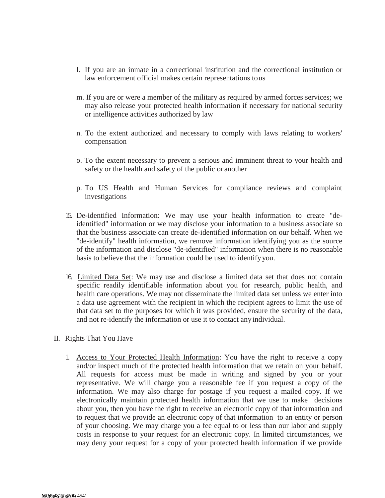- l. If you are an inmate in a correctional institution and the correctional institution or law enforcement official makes certain representations tous
- m. If you are or were a member of the military as required by armed forces services; we may also release your protected health information if necessary for national security or intelligence activities authorized by law
- n. To the extent authorized and necessary to comply with laws relating to workers' compensation
- o. To the extent necessary to prevent a serious and imminent threat to your health and safety or the health and safety of the public or another
- p. To US Health and Human Services for compliance reviews and complaint investigations
- 15. De-identified Information: We may use your health information to create "deidentified" information or we may disclose your information to a business associate so that the business associate can create de-identified information on our behalf. When we "de-identify" health information, we remove information identifying you as the source of the information and disclose "de-identified" information when there is no reasonable basis to believe that the information could be used to identify you.
- 16. Limited Data Set: We may use and disclose a limited data set that does not contain specific readily identifiable information about you for research, public health, and health care operations. We may not disseminate the limited data set unless we enter into a data use agreement with the recipient in which the recipient agrees to limit the use of that data set to the purposes for which it was provided, ensure the security of the data, and not re-identify the information or use it to contact any individual.
- II. Rights That You Have
	- 1. Access to Your Protected Health Information: You have the right to receive a copy and/or inspect much of the protected health information that we retain on your behalf. All requests for access must be made in writing and signed by you or your representative. We will charge you a reasonable fee if you request a copy of the information. We may also charge for postage if you request a mailed copy. If we electronically maintain protected health information that we use to make decisions about you, then you have the right to receive an electronic copy of that information and to request that we provide an electronic copy of that information to an entity or person of your choosing. We may charge you a fee equal to or less than our labor and supply costs in response to your request for an electronic copy. In limited circumstances, we may deny your request for a copy of your protected health information if we provide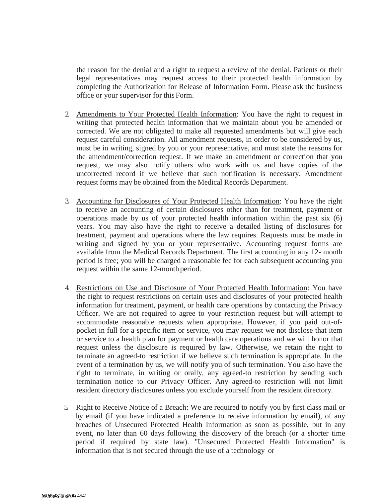the reason for the denial and a right to request a review of the denial. Patients or their legal representatives may request access to their protected health information by completing the Authorization for Release of Information Form. Please ask the business office or your supervisor for this Form.

- 2. Amendments to Your Protected Health Information: You have the right to request in writing that protected health information that we maintain about you be amended or corrected. We are not obligated to make all requested amendments but will give each request careful consideration. All amendment requests, in order to be considered by us, must be in writing, signed by you or your representative, and must state the reasons for the amendment/correction request. If we make an amendment or correction that you request, we may also notify others who work with us and have copies of the uncorrected record if we believe that such notification is necessary. Amendment request forms may be obtained from the Medical Records Department.
- 3. Accounting for Disclosures of Your Protected Health Information: You have the right to receive an accounting of certain disclosures other than for treatment, payment or operations made by us of your protected health information within the past six (6) years. You may also have the right to receive a detailed listing of disclosures for treatment, payment and operations where the law requires. Requests must be made in writing and signed by you or your representative. Accounting request forms are available from the Medical Records Department. The first accounting in any 12- month period is free; you will be charged a reasonable fee for each subsequent accounting you request within the same 12-month period.
- 4. Restrictions on Use and Disclosure of Your Protected Health Information: You have the right to request restrictions on certain uses and disclosures of your protected health information for treatment, payment, or health care operations by contacting the Privacy Officer. We are not required to agree to your restriction request but will attempt to accommodate reasonable requests when appropriate. However, if you paid out-ofpocket in full for a specific item or service, you may request we not disclose that item or service to a health plan for payment or health care operations and we will honor that request unless the disclosure is required by law. Otherwise, we retain the right to terminate an agreed-to restriction if we believe such termination is appropriate. In the event of a termination by us, we will notify you of such termination. You also have the right to terminate, in writing or orally, any agreed-to restriction by sending such termination notice to our Privacy Officer. Any agreed-to restriction will not limit resident directory disclosures unless you exclude yourself from the resident directory.
- 5. Right to Receive Notice of a Breach: We are required to notify you by first class mail or by email (if you have indicated a preference to receive information by email), of any breaches of Unsecured Protected Health Information as soon as possible, but in any event, no later than 60 days following the discovery of the breach (or a shorter time period if required by state law). "Unsecured Protected Health Information" is information that is not secured through the use of a technology or